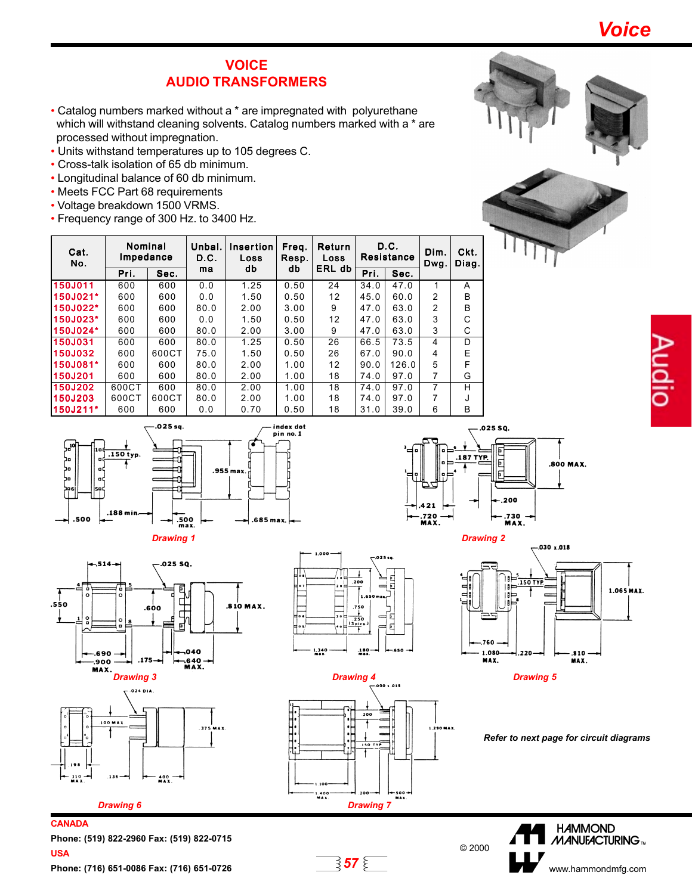Voice

## **VOICE** AUDIO TRANSFORMERS

- Catalog numbers marked without a \* are impregnated with polyurethane which will withstand cleaning solvents. Catalog numbers marked with a \* are processed without impregnation.
- Units withstand temperatures up to 105 degrees C.
- Cross-talk isolation of 65 db minimum.
- Longitudinal balance of 60 db minimum.
- Meets FCC Part 68 requirements
- Voltage breakdown 1500 VRMS.
- Frequency range of 300 Hz. to 3400 Hz.

| Cat.<br>No. | Nominal<br>Impedance |       | Unbal.<br>D.C. | Insertion<br>Loss | Freq.<br>Resp. | Return<br>Loss | D.C.<br>Resistance |       | Dim.<br>Dwg.  | Ckt.<br>Diag. |
|-------------|----------------------|-------|----------------|-------------------|----------------|----------------|--------------------|-------|---------------|---------------|
|             | Pri.                 | Sec.  | ma             | db                | db             | ERL db         | Pri.               | Sec.  |               |               |
| 150J011     | 600                  | 600   | 0.0            | 1.25              | 0.50           | 24             | 34.0               | 47.0  | 1             | A             |
| 150J021*    | 600                  | 600   | 0.0            | 1.50              | 0.50           | 12             | 45.0               | 60.0  | $\mathcal{P}$ | B             |
| 150J022*    | 600                  | 600   | 80.0           | 2.00              | 3.00           | 9              | 47.0               | 63.0  | 2             | B             |
| 150J023*    | 600                  | 600   | 0.0            | 1.50              | 0.50           | 12             | 47.0               | 63.0  | 3             | C             |
| 150J024*    | 600                  | 600   | 80.0           | 2.00              | 3.00           | 9              | 47.0               | 63.0  | 3             | C             |
| 150J031     | 600                  | 600   | 80.0           | 1.25              | 0.50           | 26             | 66.5               | 73.5  | 4             | D             |
| 150J032     | 600                  | 600CT | 75.0           | 1.50              | 0.50           | 26             | 67.0               | 90.0  | 4             | E             |
| 150J081*    | 600                  | 600   | 80.0           | 2.00              | 1.00           | 12             | 90.0               | 126.0 | 5             | F             |
| 150J201     | 600                  | 600   | 80.0           | 2.00              | 1.00           | 18             | 74.0               | 97.0  | 7             | G             |
| 150J202     | 600CT                | 600   | 80.0           | 2.00              | 1.00           | 18             | 74.0               | 97.0  | 7             | н             |
| 150J203     | 600CT                | 600CT | 80.0           | 2.00              | 1.00           | 18             | 74.0               | 97.0  | 7             |               |
| 150J211*    | 600                  | 600   | 0.0            | 0.70              | 0.50           | 18             | 31.0               | 39.0  | 6             | в             |













.025 SQ. .187 TYP. 日 **SOO MAX** 200 .720 -<br>MAX. .730 -<br>MAX.





Refer to next page for circuit diagrams



Phone: (519) 822-2960 Fax: (519) 822-0715 USA Phone: (716) 651-0086 Fax: (716) 651-0726  $\overline{\mathbf{57}} \, \overset{\text{d}}{\leq} 57$ 

**CANADA**